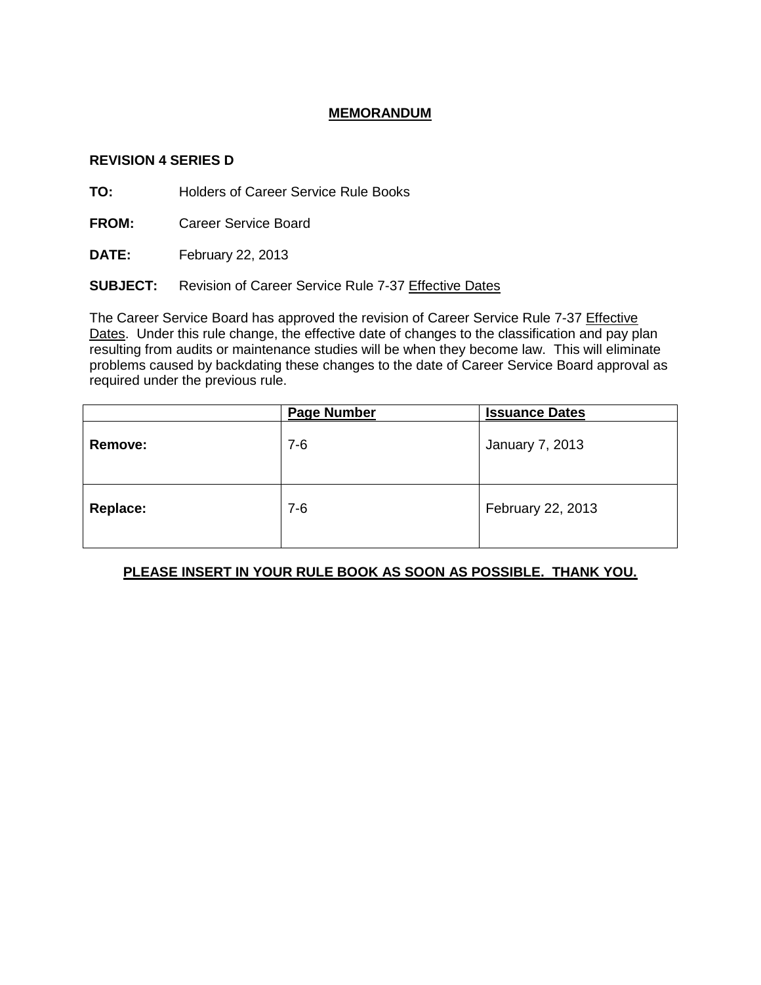## **MEMORANDUM**

#### **REVISION 4 SERIES D**

**TO:** Holders of Career Service Rule Books

**FROM:** Career Service Board

**DATE:** February 22, 2013

**SUBJECT:** Revision of Career Service Rule 7-37 Effective Dates

The Career Service Board has approved the revision of Career Service Rule 7-37 Effective Dates. Under this rule change, the effective date of changes to the classification and pay plan resulting from audits or maintenance studies will be when they become law. This will eliminate problems caused by backdating these changes to the date of Career Service Board approval as required under the previous rule.

|                 | <b>Page Number</b> | <b>Issuance Dates</b> |
|-----------------|--------------------|-----------------------|
| Remove:         | $7-6$              | January 7, 2013       |
| <b>Replace:</b> | $7-6$              | February 22, 2013     |

### **PLEASE INSERT IN YOUR RULE BOOK AS SOON AS POSSIBLE. THANK YOU.**